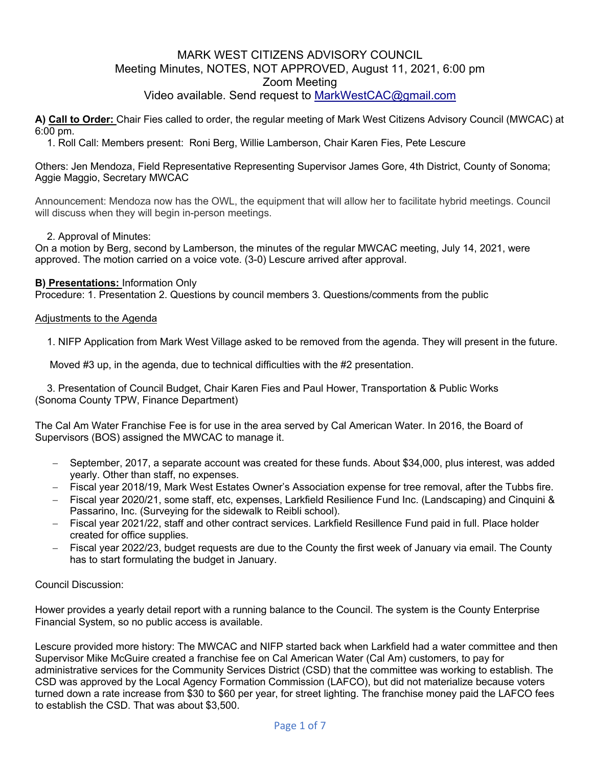## MARK WEST CITIZENS ADVISORY COUNCIL Meeting Minutes, NOTES, NOT APPROVED, August 11, 2021, 6:00 pm Zoom Meeting Video available. Send request to MarkWestCAC@gmail.com

**A) Call to Order:** Chair Fies called to order, the regular meeting of Mark West Citizens Advisory Council (MWCAC) at 6:00 pm.

1. Roll Call: Members present: Roni Berg, Willie Lamberson, Chair Karen Fies, Pete Lescure

#### Others: Jen Mendoza, Field Representative Representing Supervisor James Gore, 4th District, County of Sonoma; Aggie Maggio, Secretary MWCAC

Announcement: Mendoza now has the OWL, the equipment that will allow her to facilitate hybrid meetings. Council will discuss when they will begin in-person meetings.

### 2. Approval of Minutes:

On a motion by Berg, second by Lamberson, the minutes of the regular MWCAC meeting, July 14, 2021, were approved. The motion carried on a voice vote. (3-0) Lescure arrived after approval.

#### **B) Presentations:** Information Only

Procedure: 1. Presentation 2. Questions by council members 3. Questions/comments from the public

#### Adjustments to the Agenda

1. NIFP Application from Mark West Village asked to be removed from the agenda. They will present in the future.

Moved #3 up, in the agenda, due to technical difficulties with the #2 presentation.

3. Presentation of Council Budget, Chair Karen Fies and Paul Hower, Transportation & Public Works (Sonoma County TPW, Finance Department)

The Cal Am Water Franchise Fee is for use in the area served by Cal American Water. In 2016, the Board of Supervisors (BOS) assigned the MWCAC to manage it.

- September, 2017, a separate account was created for these funds. About \$34,000, plus interest, was added yearly. Other than staff, no expenses.
- Fiscal year 2018/19, Mark West Estates Owner's Association expense for tree removal, after the Tubbs fire.
- Fiscal year 2020/21, some staff, etc, expenses, Larkfield Resilience Fund Inc. (Landscaping) and Cinquini & Passarino, Inc. (Surveying for the sidewalk to Reibli school).
- Fiscal year 2021/22, staff and other contract services. Larkfield Resillence Fund paid in full. Place holder created for office supplies.
- Fiscal year 2022/23, budget requests are due to the County the first week of January via email. The County has to start formulating the budget in January.

### Council Discussion:

Hower provides a yearly detail report with a running balance to the Council. The system is the County Enterprise Financial System, so no public access is available.

Lescure provided more history: The MWCAC and NIFP started back when Larkfield had a water committee and then Supervisor Mike McGuire created a franchise fee on Cal American Water (Cal Am) customers, to pay for administrative services for the Community Services District (CSD) that the committee was working to establish. The CSD was approved by the Local Agency Formation Commission (LAFCO), but did not materialize because voters turned down a rate increase from \$30 to \$60 per year, for street lighting. The franchise money paid the LAFCO fees to establish the CSD. That was about \$3,500.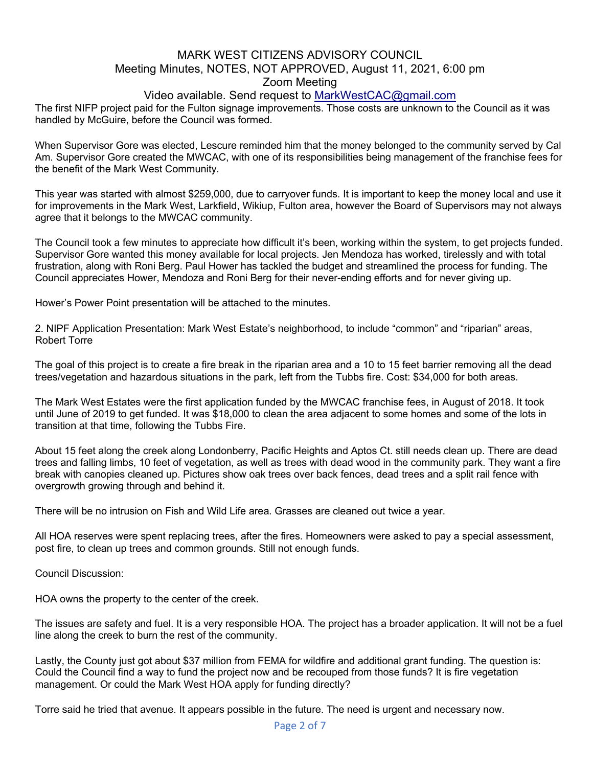### Video available. Send request to MarkWestCAC@gmail.com

The first NIFP project paid for the Fulton signage improvements. Those costs are unknown to the Council as it was handled by McGuire, before the Council was formed.

When Supervisor Gore was elected, Lescure reminded him that the money belonged to the community served by Cal Am. Supervisor Gore created the MWCAC, with one of its responsibilities being management of the franchise fees for the benefit of the Mark West Community.

This year was started with almost \$259,000, due to carryover funds. It is important to keep the money local and use it for improvements in the Mark West, Larkfield, Wikiup, Fulton area, however the Board of Supervisors may not always agree that it belongs to the MWCAC community.

The Council took a few minutes to appreciate how difficult it's been, working within the system, to get projects funded. Supervisor Gore wanted this money available for local projects. Jen Mendoza has worked, tirelessly and with total frustration, along with Roni Berg. Paul Hower has tackled the budget and streamlined the process for funding. The Council appreciates Hower, Mendoza and Roni Berg for their never-ending efforts and for never giving up.

Hower's Power Point presentation will be attached to the minutes.

2. NIPF Application Presentation: Mark West Estate's neighborhood, to include "common" and "riparian" areas, Robert Torre

The goal of this project is to create a fire break in the riparian area and a 10 to 15 feet barrier removing all the dead trees/vegetation and hazardous situations in the park, left from the Tubbs fire. Cost: \$34,000 for both areas.

The Mark West Estates were the first application funded by the MWCAC franchise fees, in August of 2018. It took until June of 2019 to get funded. It was \$18,000 to clean the area adjacent to some homes and some of the lots in transition at that time, following the Tubbs Fire.

About 15 feet along the creek along Londonberry, Pacific Heights and Aptos Ct. still needs clean up. There are dead trees and falling limbs, 10 feet of vegetation, as well as trees with dead wood in the community park. They want a fire break with canopies cleaned up. Pictures show oak trees over back fences, dead trees and a split rail fence with overgrowth growing through and behind it.

There will be no intrusion on Fish and Wild Life area. Grasses are cleaned out twice a year.

All HOA reserves were spent replacing trees, after the fires. Homeowners were asked to pay a special assessment, post fire, to clean up trees and common grounds. Still not enough funds.

Council Discussion:

HOA owns the property to the center of the creek.

The issues are safety and fuel. It is a very responsible HOA. The project has a broader application. It will not be a fuel line along the creek to burn the rest of the community.

Lastly, the County just got about \$37 million from FEMA for wildfire and additional grant funding. The question is: Could the Council find a way to fund the project now and be recouped from those funds? It is fire vegetation management. Or could the Mark West HOA apply for funding directly?

Torre said he tried that avenue. It appears possible in the future. The need is urgent and necessary now.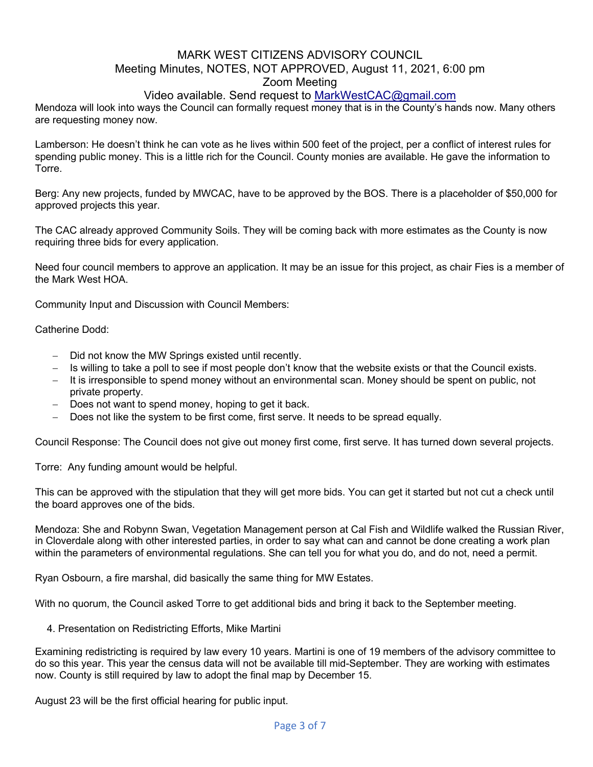## Video available. Send request to MarkWestCAC@gmail.com

Mendoza will look into ways the Council can formally request money that is in the County's hands now. Many others are requesting money now.

Lamberson: He doesn't think he can vote as he lives within 500 feet of the project, per a conflict of interest rules for spending public money. This is a little rich for the Council. County monies are available. He gave the information to Torre.

Berg: Any new projects, funded by MWCAC, have to be approved by the BOS. There is a placeholder of \$50,000 for approved projects this year.

The CAC already approved Community Soils. They will be coming back with more estimates as the County is now requiring three bids for every application.

Need four council members to approve an application. It may be an issue for this project, as chair Fies is a member of the Mark West HOA.

Community Input and Discussion with Council Members:

Catherine Dodd:

- Did not know the MW Springs existed until recently.
- Is willing to take a poll to see if most people don't know that the website exists or that the Council exists.
- It is irresponsible to spend money without an environmental scan. Money should be spent on public, not private property.
- Does not want to spend money, hoping to get it back.
- Does not like the system to be first come, first serve. It needs to be spread equally.

Council Response: The Council does not give out money first come, first serve. It has turned down several projects.

Torre: Any funding amount would be helpful.

This can be approved with the stipulation that they will get more bids. You can get it started but not cut a check until the board approves one of the bids.

Mendoza: She and Robynn Swan, Vegetation Management person at Cal Fish and Wildlife walked the Russian River, in Cloverdale along with other interested parties, in order to say what can and cannot be done creating a work plan within the parameters of environmental regulations. She can tell you for what you do, and do not, need a permit.

Ryan Osbourn, a fire marshal, did basically the same thing for MW Estates.

With no quorum, the Council asked Torre to get additional bids and bring it back to the September meeting.

4. Presentation on Redistricting Efforts, Mike Martini

Examining redistricting is required by law every 10 years. Martini is one of 19 members of the advisory committee to do so this year. This year the census data will not be available till mid-September. They are working with estimates now. County is still required by law to adopt the final map by December 15.

August 23 will be the first official hearing for public input.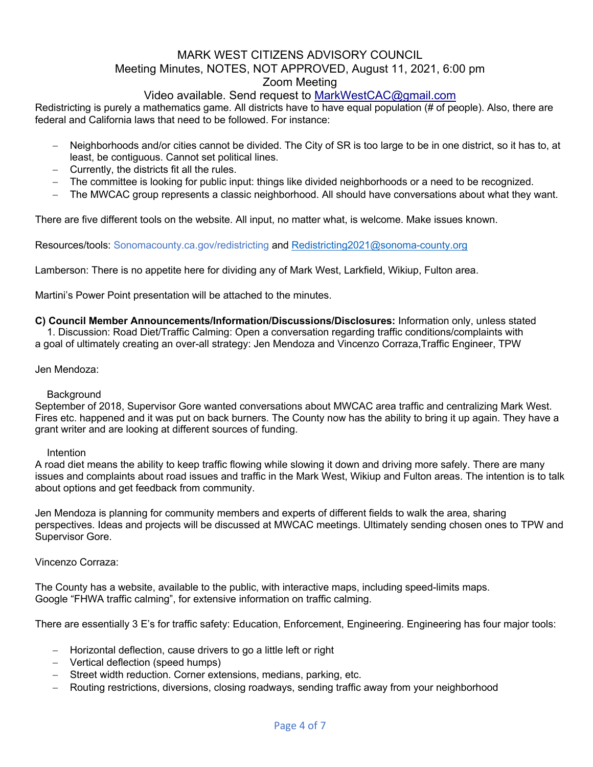# Video available. Send request to MarkWestCAC@gmail.com

Redistricting is purely a mathematics game. All districts have to have equal population (# of people). Also, there are federal and California laws that need to be followed. For instance:

- Neighborhoods and/or cities cannot be divided. The City of SR is too large to be in one district, so it has to, at least, be contiguous. Cannot set political lines.
- Currently, the districts fit all the rules.
- The committee is looking for public input: things like divided neighborhoods or a need to be recognized.
- The MWCAC group represents a classic neighborhood. All should have conversations about what they want.

There are five different tools on the website. All input, no matter what, is welcome. Make issues known.

Resources/tools: Sonomacounty.ca.gov/redistricting and Redistricting2021@sonoma-county.org

Lamberson: There is no appetite here for dividing any of Mark West, Larkfield, Wikiup, Fulton area.

Martini's Power Point presentation will be attached to the minutes.

**C) Council Member Announcements/Information/Discussions/Disclosures:** Information only, unless stated 1. Discussion: Road Diet/Traffic Calming: Open a conversation regarding traffic conditions/complaints with a goal of ultimately creating an over-all strategy: Jen Mendoza and Vincenzo Corraza,Traffic Engineer, TPW

#### Jen Mendoza:

#### **Background**

September of 2018, Supervisor Gore wanted conversations about MWCAC area traffic and centralizing Mark West. Fires etc. happened and it was put on back burners. The County now has the ability to bring it up again. They have a grant writer and are looking at different sources of funding.

#### **Intention**

A road diet means the ability to keep traffic flowing while slowing it down and driving more safely. There are many issues and complaints about road issues and traffic in the Mark West, Wikiup and Fulton areas. The intention is to talk about options and get feedback from community.

Jen Mendoza is planning for community members and experts of different fields to walk the area, sharing perspectives. Ideas and projects will be discussed at MWCAC meetings. Ultimately sending chosen ones to TPW and Supervisor Gore.

#### Vincenzo Corraza:

The County has a website, available to the public, with interactive maps, including speed-limits maps. Google "FHWA traffic calming", for extensive information on traffic calming.

There are essentially 3 E's for traffic safety: Education, Enforcement, Engineering. Engineering has four major tools:

- Horizontal deflection, cause drivers to go a little left or right
- Vertical deflection (speed humps)
- Street width reduction. Corner extensions, medians, parking, etc.
- Routing restrictions, diversions, closing roadways, sending traffic away from your neighborhood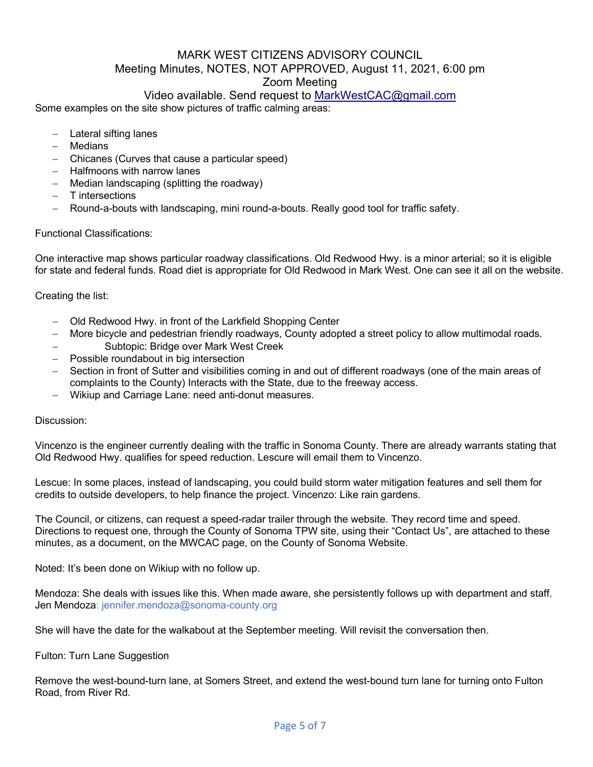## Video available. Send request to MarkWestCAC@gmail.com

Some examples on the site show pictures of traffic calming areas:

- Lateral sifting lanes
- Medians
- Chicanes (Curves that cause a particular speed)
- Halfmoons with narrow lanes
- $-$  Median landscaping (splitting the roadway)
- T intersections
- Round-a-bouts with landscaping, mini round-a-bouts. Really good tool for traffic safety.

#### Functional Classifications:

One interactive map shows particular roadway classifications. Old Redwood Hwy. is a minor arterial; so it is eligible for state and federal funds. Road diet is appropriate for Old Redwood in Mark West. One can see it all on the website.

### Creating the list:

- Old Redwood Hwy. in front of the Larkfield Shopping Center
- More bicycle and pedestrian friendly roadways, County adopted a street policy to allow multimodal roads.
	- Subtopic: Bridge over Mark West Creek
- Possible roundabout in big intersection
- Section in front of Sutter and visibilities coming in and out of different roadways (one of the main areas of complaints to the County) Interacts with the State, due to the freeway access.
- Wikiup and Carriage Lane: need anti-donut measures.

#### Discussion:

Vincenzo is the engineer currently dealing with the traffic in Sonoma County. There are already warrants stating that Old Redwood Hwy. qualifies for speed reduction. Lescure will email them to Vincenzo.

Lescue: In some places, instead of landscaping, you could build storm water mitigation features and sell them for credits to outside developers, to help finance the project. Vincenzo: Like rain gardens.

The Council, or citizens, can request a speed-radar trailer through the website. They record time and speed. Directions to request one, through the County of Sonoma TPW site, using their "Contact Us", are attached to these minutes, as a document, on the MWCAC page, on the County of Sonoma Website.

Noted: It's been done on Wikiup with no follow up.

Mendoza: She deals with issues like this. When made aware, she persistently follows up with department and staff. Jen Mendoza: jennifer.mendoza@sonoma-county.org

She will have the date for the walkabout at the September meeting. Will revisit the conversation then.

#### Fulton: Turn Lane Suggestion

Remove the west-bound-turn lane, at Somers Street, and extend the west-bound turn lane for turning onto Fulton Road, from River Rd.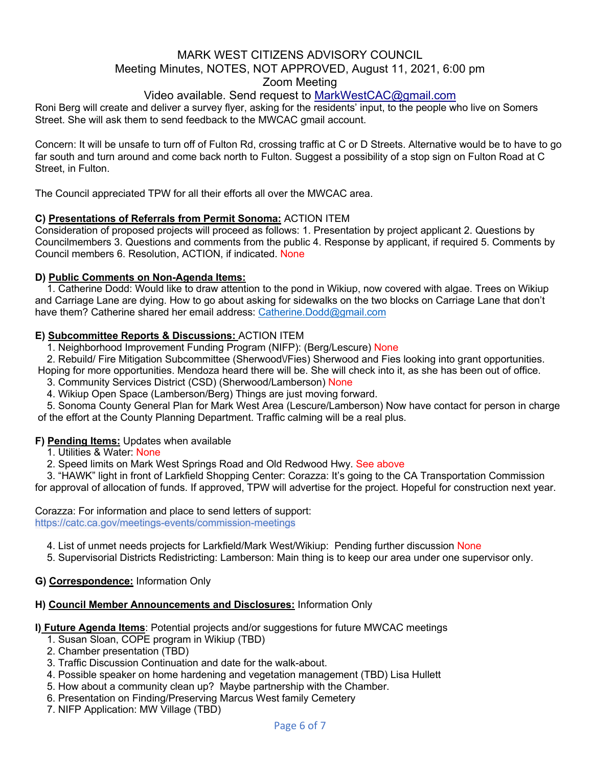# Video available. Send request to MarkWestCAC@gmail.com

Roni Berg will create and deliver a survey flyer, asking for the residents' input, to the people who live on Somers Street. She will ask them to send feedback to the MWCAC gmail account.

Concern: It will be unsafe to turn off of Fulton Rd, crossing traffic at C or D Streets. Alternative would be to have to go far south and turn around and come back north to Fulton. Suggest a possibility of a stop sign on Fulton Road at C Street, in Fulton.

The Council appreciated TPW for all their efforts all over the MWCAC area.

### **C) Presentations of Referrals from Permit Sonoma:** ACTION ITEM

Consideration of proposed projects will proceed as follows: 1. Presentation by project applicant 2. Questions by Councilmembers 3. Questions and comments from the public 4. Response by applicant, if required 5. Comments by Council members 6. Resolution, ACTION, if indicated. None

### **D) Public Comments on Non-Agenda Items:**

1. Catherine Dodd: Would like to draw attention to the pond in Wikiup, now covered with algae. Trees on Wikiup and Carriage Lane are dying. How to go about asking for sidewalks on the two blocks on Carriage Lane that don't have them? Catherine shared her email address: Catherine.Dodd@gmail.com

## **E) Subcommittee Reports & Discussions:** ACTION ITEM

1. Neighborhood Improvement Funding Program (NIFP): (Berg/Lescure) None

2. Rebuild/ Fire Mitigation Subcommittee (Sherwood\/Fies) Sherwood and Fies looking into grant opportunities.

Hoping for more opportunities. Mendoza heard there will be. She will check into it, as she has been out of office.

3. Community Services District (CSD) (Sherwood/Lamberson) None

4. Wikiup Open Space (Lamberson/Berg) Things are just moving forward.

5. Sonoma County General Plan for Mark West Area (Lescure/Lamberson) Now have contact for person in charge of the effort at the County Planning Department. Traffic calming will be a real plus.

### **F) Pending Items:** Updates when available

1. Utilities & Water: None

2. Speed limits on Mark West Springs Road and Old Redwood Hwy. See above

3. "HAWK" light in front of Larkfield Shopping Center: Corazza: It's going to the CA Transportation Commission for approval of allocation of funds. If approved, TPW will advertise for the project. Hopeful for construction next year.

Corazza: For information and place to send letters of support: https://catc.ca.gov/meetings-events/commission-meetings

4. List of unmet needs projects for Larkfield/Mark West/Wikiup: Pending further discussion None

5. Supervisorial Districts Redistricting: Lamberson: Main thing is to keep our area under one supervisor only.

**G) Correspondence:** Information Only

### **H) Council Member Announcements and Disclosures:** Information Only

### **I) Future Agenda Items**: Potential projects and/or suggestions for future MWCAC meetings

- 1. Susan Sloan, COPE program in Wikiup (TBD)
- 2. Chamber presentation (TBD)
- 3. Traffic Discussion Continuation and date for the walk-about.
- 4. Possible speaker on home hardening and vegetation management (TBD) Lisa Hullett
- 5. How about a community clean up? Maybe partnership with the Chamber.
- 6. Presentation on Finding/Preserving Marcus West family Cemetery
- 7. NIFP Application: MW Village (TBD)